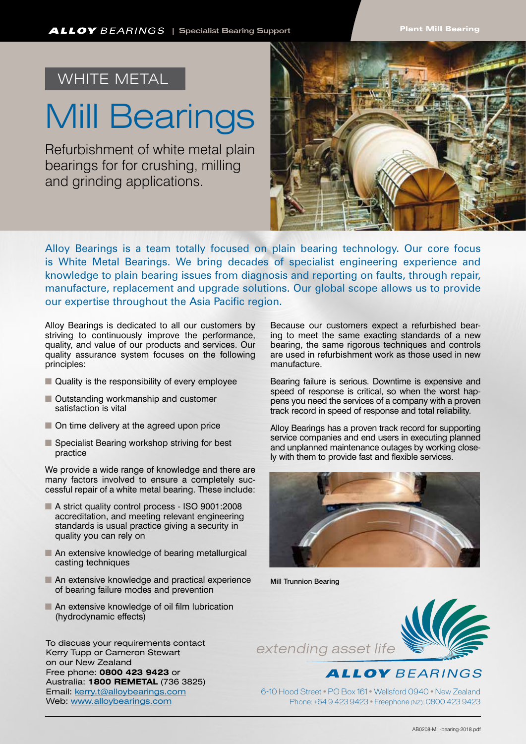## WHITE METAL

## Mill Bearings

Refurbishment of white metal plain bearings for for crushing, milling and grinding applications.



Alloy Bearings is a team totally focused on plain bearing technology. Our core focus is White Metal Bearings. We bring decades of specialist engineering experience and knowledge to plain bearing issues from diagnosis and reporting on faults, through repair, manufacture, replacement and upgrade solutions. Our global scope allows us to provide our expertise throughout the Asia Pacific region.

Alloy Bearings is dedicated to all our customers by striving to continuously improve the performance, quality, and value of our products and services. Our quality assurance system focuses on the following principles:

- $\blacksquare$  Quality is the responsibility of every employee
- Outstanding workmanship and customer satisfaction is vital
- $\blacksquare$  On time delivery at the agreed upon price
- Specialist Bearing workshop striving for best practice

We provide a wide range of knowledge and there are many factors involved to ensure a completely successful repair of a white metal bearing. These include:

- A strict quality control process ISO 9001:2008 accreditation, and meeting relevant engineering standards is usual practice giving a security in quality you can rely on
- $\blacksquare$  An extensive knowledge of bearing metallurgical casting techniques
- $\blacksquare$  An extensive knowledge and practical experience of bearing failure modes and prevention
- $\blacksquare$  An extensive knowledge of oil film lubrication (hydrodynamic effects)

To discuss your requirements contact Kerry Tupp or Cameron Stewart on our New Zealand Free phone: **0800 423 9423** or Australia: **1800 REMETAL** (736 3825) Email: kerry.t@alloybearings.com Web: www.alloybearings.com

Because our customers expect a refurbished bearing to meet the same exacting standards of a new bearing, the same rigorous techniques and controls are used in refurbishment work as those used in new manufacture.

Bearing failure is serious. Downtime is expensive and speed of response is critical, so when the worst happens you need the services of a company with a proven track record in speed of response and total reliability.

Alloy Bearings has a proven track record for supporting service companies and end users in executing planned and unplanned maintenance outages by working closely with them to provide fast and flexible services.



Mill Trunnion Bearing





6-10 Hood Street • PO Box 161 • Wellsford 0940 • New Zealand Phone: +64 9 423 9423 • Freephone (NZ): 0800 423 9423